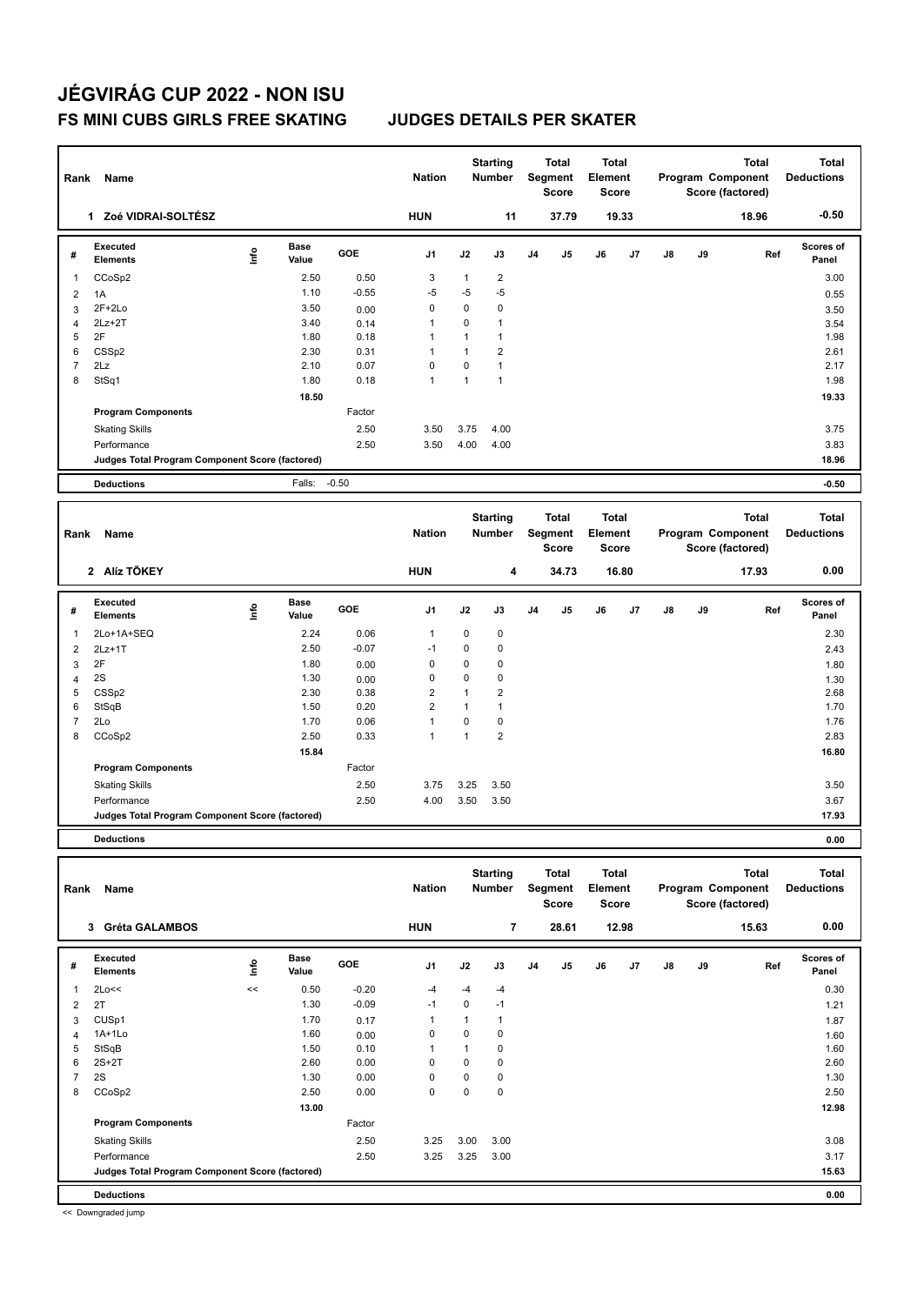| Rank           | Name                                            |                          |                      |              | <b>Nation</b>     |                              | <b>Starting</b><br><b>Number</b> |    | <b>Total</b><br>Segment<br><b>Score</b> | Total<br>Element<br><b>Score</b>        |                |               |    | <b>Total</b><br>Program Component<br>Score (factored) |     | <b>Total</b><br><b>Deductions</b> |
|----------------|-------------------------------------------------|--------------------------|----------------------|--------------|-------------------|------------------------------|----------------------------------|----|-----------------------------------------|-----------------------------------------|----------------|---------------|----|-------------------------------------------------------|-----|-----------------------------------|
|                | 1 Zoé VIDRAI-SOLTÉSZ                            |                          |                      |              | <b>HUN</b>        |                              | 11                               |    | 37.79                                   |                                         | 19.33          |               |    | 18.96                                                 |     | $-0.50$                           |
| #              | <b>Executed</b><br><b>Elements</b>              | $\mathop{\mathsf{Info}}$ | <b>Base</b><br>Value | GOE          | J <sub>1</sub>    | J2                           | J3                               | J4 | J5                                      | J6                                      | J <sub>7</sub> | $\mathsf{J}8$ | J9 |                                                       | Ref | Scores of<br>Panel                |
| 1              | CCoSp2                                          |                          | 2.50                 | 0.50         | 3                 | $\mathbf{1}$                 | $\overline{2}$                   |    |                                         |                                         |                |               |    |                                                       |     | 3.00                              |
| 2              | 1A                                              |                          | 1.10                 | $-0.55$      | $-5$              | $-5$                         | $-5$                             |    |                                         |                                         |                |               |    |                                                       |     | 0.55                              |
| 3              | $2F+2Lo$                                        |                          | 3.50                 | 0.00         | 0                 | 0                            | $\mathbf 0$                      |    |                                         |                                         |                |               |    |                                                       |     | 3.50                              |
| $\overline{4}$ | $2Lz+2T$                                        |                          | 3.40                 | 0.14         | $\mathbf{1}$      | 0                            | $\mathbf{1}$                     |    |                                         |                                         |                |               |    |                                                       |     | 3.54                              |
| 5<br>6         | 2F<br>CSS <sub>p2</sub>                         |                          | 1.80<br>2.30         | 0.18<br>0.31 | $\mathbf{1}$<br>1 | $\mathbf{1}$<br>$\mathbf{1}$ | $\mathbf{1}$<br>$\overline{2}$   |    |                                         |                                         |                |               |    |                                                       |     | 1.98<br>2.61                      |
| $\overline{7}$ | 2Lz                                             |                          | 2.10                 | 0.07         | 0                 | 0                            | $\overline{1}$                   |    |                                         |                                         |                |               |    |                                                       |     | 2.17                              |
| 8              | StSq1                                           |                          | 1.80                 | 0.18         | $\overline{1}$    | $\mathbf{1}$                 | $\mathbf{1}$                     |    |                                         |                                         |                |               |    |                                                       |     | 1.98                              |
|                |                                                 |                          | 18.50                |              |                   |                              |                                  |    |                                         |                                         |                |               |    |                                                       |     | 19.33                             |
|                | <b>Program Components</b>                       |                          |                      | Factor       |                   |                              |                                  |    |                                         |                                         |                |               |    |                                                       |     |                                   |
|                | <b>Skating Skills</b>                           |                          |                      | 2.50         | 3.50              | 3.75                         | 4.00                             |    |                                         |                                         |                |               |    |                                                       |     | 3.75                              |
|                | Performance                                     |                          |                      | 2.50         | 3.50              | 4.00                         | 4.00                             |    |                                         |                                         |                |               |    |                                                       |     | 3.83                              |
|                | Judges Total Program Component Score (factored) |                          |                      |              |                   |                              |                                  |    |                                         |                                         |                |               |    |                                                       |     | 18.96                             |
|                | <b>Deductions</b>                               |                          | Falls:               | $-0.50$      |                   |                              |                                  |    |                                         |                                         |                |               |    |                                                       |     | $-0.50$                           |
|                |                                                 |                          |                      |              |                   |                              |                                  |    |                                         |                                         |                |               |    |                                                       |     |                                   |
|                |                                                 |                          |                      |              |                   |                              |                                  |    |                                         |                                         |                |               |    |                                                       |     |                                   |
| Rank           | Name                                            |                          |                      |              | <b>Nation</b>     |                              | <b>Starting</b><br><b>Number</b> |    | <b>Total</b><br>Segment<br><b>Score</b> | <b>Total</b><br>Element<br><b>Score</b> |                |               |    | <b>Total</b><br>Program Component<br>Score (factored) |     | <b>Total</b><br><b>Deductions</b> |
|                | 2 Alíz TÖKEY                                    |                          |                      |              | <b>HUN</b>        |                              | 4                                |    | 34.73                                   |                                         | 16.80          |               |    | 17.93                                                 |     | 0.00                              |
| #              | <b>Executed</b><br>Elements                     | lnfo                     | <b>Base</b><br>Value | GOE          | J <sub>1</sub>    | J2                           | J3                               | J4 | J5                                      | J6                                      | J <sub>7</sub> | $\mathsf{J}8$ | J9 |                                                       | Ref | <b>Scores of</b><br>Panel         |
| 1              | 2Lo+1A+SEQ                                      |                          | 2.24                 | 0.06         | $\mathbf{1}$      | 0                            | $\mathbf 0$                      |    |                                         |                                         |                |               |    |                                                       |     | 2.30                              |
| $\overline{2}$ | $2Lz+1T$                                        |                          | 2.50                 | $-0.07$      | $-1$              | 0                            | $\mathbf 0$                      |    |                                         |                                         |                |               |    |                                                       |     | 2.43                              |
| 3              | 2F                                              |                          | 1.80                 | 0.00         | 0                 | 0                            | $\mathbf 0$                      |    |                                         |                                         |                |               |    |                                                       |     |                                   |
| 4              | 2S                                              |                          | 1.30                 | 0.00         | $\mathbf 0$       | 0                            | $\mathbf 0$                      |    |                                         |                                         |                |               |    |                                                       |     | 1.80<br>1.30                      |
| 5              | CSSp2                                           |                          | 2.30                 | 0.38         | $\overline{2}$    | $\overline{1}$               | $\overline{2}$                   |    |                                         |                                         |                |               |    |                                                       |     | 2.68                              |
| 6              | StSqB                                           |                          | 1.50                 | 0.20         | $\overline{2}$    | 1                            | $\mathbf{1}$                     |    |                                         |                                         |                |               |    |                                                       |     | 1.70                              |
| $\overline{7}$ | 2Lo                                             |                          | 1.70                 | 0.06         | $\mathbf{1}$      | 0                            | $\mathbf 0$                      |    |                                         |                                         |                |               |    |                                                       |     | 1.76                              |
| 8              | CCoSp2                                          |                          | 2.50                 | 0.33         | $\mathbf{1}$      | $\mathbf{1}$                 | $\overline{2}$                   |    |                                         |                                         |                |               |    |                                                       |     | 2.83                              |
|                |                                                 |                          | 15.84                |              |                   |                              |                                  |    |                                         |                                         |                |               |    |                                                       |     | 16.80                             |
|                | <b>Program Components</b>                       |                          |                      | Factor       |                   |                              |                                  |    |                                         |                                         |                |               |    |                                                       |     |                                   |
|                | <b>Skating Skills</b>                           |                          |                      | 2.50         | 3.75              | 3.25                         | 3.50                             |    |                                         |                                         |                |               |    |                                                       |     | 3.50                              |
|                | Performance                                     |                          |                      | 2.50         | 4.00              | 3.50                         | 3.50                             |    |                                         |                                         |                |               |    |                                                       |     | 3.67                              |
|                | Judges Total Program Component Score (factored) |                          |                      |              |                   |                              |                                  |    |                                         |                                         |                |               |    |                                                       |     | 17.93                             |

| Rank | Name                                            |             |                      |         | <b>Nation</b>  |      | <b>Starting</b><br><b>Number</b> |                | <b>Total</b><br>Segment<br><b>Score</b> | <b>Total</b><br>Element<br><b>Score</b> |       |               |    | <b>Total</b><br>Program Component<br>Score (factored) | <b>Total</b><br><b>Deductions</b> |
|------|-------------------------------------------------|-------------|----------------------|---------|----------------|------|----------------------------------|----------------|-----------------------------------------|-----------------------------------------|-------|---------------|----|-------------------------------------------------------|-----------------------------------|
|      | <b>Gréta GALAMBOS</b><br>3                      |             |                      |         | <b>HUN</b>     |      | $\overline{7}$                   |                | 28.61                                   |                                         | 12.98 |               |    | 15.63                                                 | 0.00                              |
| #    | <b>Executed</b><br><b>Elements</b>              | <u>info</u> | <b>Base</b><br>Value | GOE     | J <sub>1</sub> | J2   | J3                               | J <sub>4</sub> | J <sub>5</sub>                          | J6                                      | J7    | $\mathsf{J}8$ | J9 | Ref                                                   | <b>Scores of</b><br>Panel         |
| 1    | 2Lo<<                                           | <<          | 0.50                 | $-0.20$ | $-4$           | -4   | -4                               |                |                                         |                                         |       |               |    |                                                       | 0.30                              |
| 2    | 2T                                              |             | 1.30                 | $-0.09$ | $-1$           | 0    | $-1$                             |                |                                         |                                         |       |               |    |                                                       | 1.21                              |
| 3    | CUS <sub>p1</sub>                               |             | 1.70                 | 0.17    | -1             | 1    | 1                                |                |                                         |                                         |       |               |    |                                                       | 1.87                              |
| 4    | $1A+1Lo$                                        |             | 1.60                 | 0.00    | 0              | 0    | 0                                |                |                                         |                                         |       |               |    |                                                       | 1.60                              |
| 5    | StSqB                                           |             | 1.50                 | 0.10    | 1              |      | 0                                |                |                                         |                                         |       |               |    |                                                       | 1.60                              |
| 6    | $2S+2T$                                         |             | 2.60                 | 0.00    | 0              | 0    | $\mathbf 0$                      |                |                                         |                                         |       |               |    |                                                       | 2.60                              |
|      | 2S                                              |             | 1.30                 | 0.00    | 0              | 0    | 0                                |                |                                         |                                         |       |               |    |                                                       | 1.30                              |
| 8    | CCoSp2                                          |             | 2.50                 | 0.00    | 0              | 0    | $\mathbf 0$                      |                |                                         |                                         |       |               |    |                                                       | 2.50                              |
|      |                                                 |             | 13.00                |         |                |      |                                  |                |                                         |                                         |       |               |    |                                                       | 12.98                             |
|      | <b>Program Components</b>                       |             |                      | Factor  |                |      |                                  |                |                                         |                                         |       |               |    |                                                       |                                   |
|      | <b>Skating Skills</b>                           |             |                      | 2.50    | 3.25           | 3.00 | 3.00                             |                |                                         |                                         |       |               |    |                                                       | 3.08                              |
|      | Performance                                     |             |                      | 2.50    | 3.25           | 3.25 | 3.00                             |                |                                         |                                         |       |               |    |                                                       | 3.17                              |
|      | Judges Total Program Component Score (factored) |             |                      |         |                |      |                                  |                |                                         |                                         |       |               |    |                                                       | 15.63                             |
|      | <b>Deductions</b>                               |             |                      |         |                |      |                                  |                |                                         |                                         |       |               |    |                                                       | 0.00                              |

<< Downgraded jump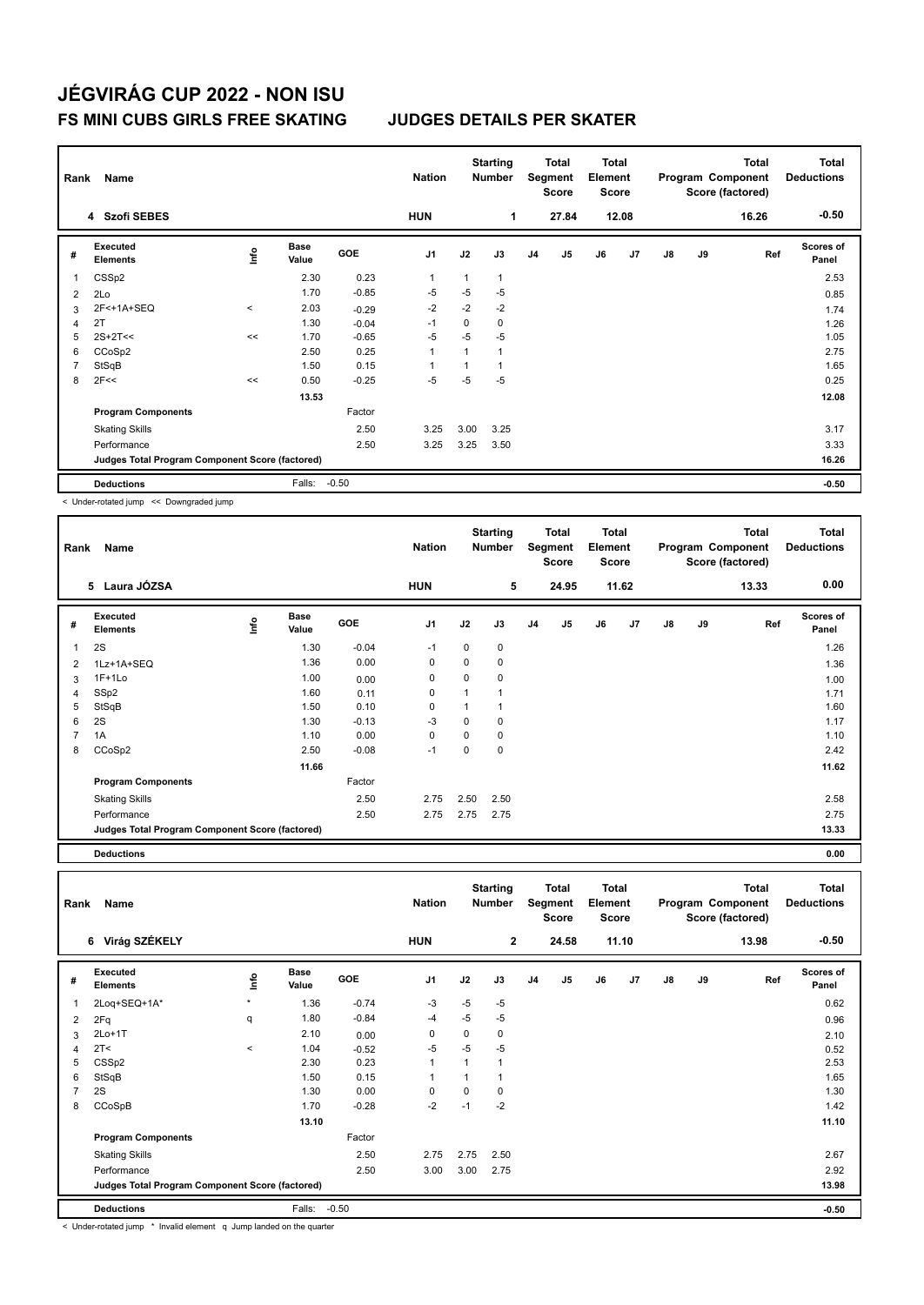| Rank | Name                                            |              |                      |         | <b>Nation</b>  |              | <b>Starting</b><br><b>Number</b> |                | Total<br>Segment<br><b>Score</b> | <b>Total</b><br>Element<br><b>Score</b> |                |    |    | <b>Total</b><br>Program Component<br>Score (factored) | <b>Total</b><br><b>Deductions</b> |
|------|-------------------------------------------------|--------------|----------------------|---------|----------------|--------------|----------------------------------|----------------|----------------------------------|-----------------------------------------|----------------|----|----|-------------------------------------------------------|-----------------------------------|
|      | 4 Szofi SEBES                                   |              |                      |         | <b>HUN</b>     |              | 1                                |                | 27.84                            |                                         | 12.08          |    |    | 16.26                                                 | $-0.50$                           |
| #    | Executed<br><b>Elements</b>                     | ۴ů           | <b>Base</b><br>Value | GOE     | J <sub>1</sub> | J2           | J3                               | J <sub>4</sub> | J <sub>5</sub>                   | J6                                      | J <sub>7</sub> | J8 | J9 | Ref                                                   | Scores of<br>Panel                |
| 1    | CSS <sub>p2</sub>                               |              | 2.30                 | 0.23    | $\mathbf{1}$   | $\mathbf{1}$ | 1                                |                |                                  |                                         |                |    |    |                                                       | 2.53                              |
| 2    | 2Lo                                             |              | 1.70                 | $-0.85$ | $-5$           | $-5$         | $-5$                             |                |                                  |                                         |                |    |    |                                                       | 0.85                              |
| 3    | 2F<+1A+SEQ                                      | $\checkmark$ | 2.03                 | $-0.29$ | $-2$           | $-2$         | $-2$                             |                |                                  |                                         |                |    |    |                                                       | 1.74                              |
| 4    | 2T                                              |              | 1.30                 | $-0.04$ | $-1$           | 0            | 0                                |                |                                  |                                         |                |    |    |                                                       | 1.26                              |
| 5    | $2S+2T<<$                                       | <<           | 1.70                 | $-0.65$ | $-5$           | -5           | $-5$                             |                |                                  |                                         |                |    |    |                                                       | 1.05                              |
| 6    | CCoSp2                                          |              | 2.50                 | 0.25    | $\overline{1}$ | 1            | 1                                |                |                                  |                                         |                |    |    |                                                       | 2.75                              |
| 7    | StSqB                                           |              | 1.50                 | 0.15    | $\overline{1}$ |              |                                  |                |                                  |                                         |                |    |    |                                                       | 1.65                              |
| 8    | 2F<<                                            | <<           | 0.50                 | $-0.25$ | $-5$           | $-5$         | $-5$                             |                |                                  |                                         |                |    |    |                                                       | 0.25                              |
|      |                                                 |              | 13.53                |         |                |              |                                  |                |                                  |                                         |                |    |    |                                                       | 12.08                             |
|      | <b>Program Components</b>                       |              |                      | Factor  |                |              |                                  |                |                                  |                                         |                |    |    |                                                       |                                   |
|      | <b>Skating Skills</b>                           |              |                      | 2.50    | 3.25           | 3.00         | 3.25                             |                |                                  |                                         |                |    |    |                                                       | 3.17                              |
|      | Performance                                     |              |                      | 2.50    | 3.25           | 3.25         | 3.50                             |                |                                  |                                         |                |    |    |                                                       | 3.33                              |
|      | Judges Total Program Component Score (factored) |              |                      |         |                |              |                                  |                |                                  |                                         |                |    |    |                                                       | 16.26                             |
|      | <b>Deductions</b>                               |              | Falls:               | $-0.50$ |                |              |                                  |                |                                  |                                         |                |    |    |                                                       | $-0.50$                           |

< Under-rotated jump << Downgraded jump

| Rank | Name                                            |            |               |            | <b>Nation</b>  |          | <b>Starting</b><br>Number |                | <b>Total</b><br>Segment<br><b>Score</b> | <b>Total</b><br>Element<br><b>Score</b> |       |               |    | <b>Total</b><br>Program Component<br>Score (factored) | <b>Total</b><br><b>Deductions</b> |
|------|-------------------------------------------------|------------|---------------|------------|----------------|----------|---------------------------|----------------|-----------------------------------------|-----------------------------------------|-------|---------------|----|-------------------------------------------------------|-----------------------------------|
|      | 5 Laura JÓZSA                                   |            |               |            | <b>HUN</b>     |          | 5                         |                | 24.95                                   |                                         | 11.62 |               |    | 13.33                                                 | 0.00                              |
| #    | Executed<br><b>Elements</b>                     | <b>Lin</b> | Base<br>Value | <b>GOE</b> | J <sub>1</sub> | J2       | J3                        | J <sub>4</sub> | J5                                      | J6                                      | J7    | $\mathsf{J}8$ | J9 | Ref                                                   | Scores of<br>Panel                |
| 1    | 2S                                              |            | 1.30          | $-0.04$    | $-1$           | 0        | 0                         |                |                                         |                                         |       |               |    |                                                       | 1.26                              |
| 2    | 1Lz+1A+SEQ                                      |            | 1.36          | 0.00       | 0              | 0        | 0                         |                |                                         |                                         |       |               |    |                                                       | 1.36                              |
| 3    | $1F+1Lo$                                        |            | 1.00          | 0.00       | $\mathbf 0$    | 0        | 0                         |                |                                         |                                         |       |               |    |                                                       | 1.00                              |
| 4    | SSp2                                            |            | 1.60          | 0.11       | 0              |          | 1                         |                |                                         |                                         |       |               |    |                                                       | 1.71                              |
| 5    | StSqB                                           |            | 1.50          | 0.10       | $\mathbf 0$    |          | 1                         |                |                                         |                                         |       |               |    |                                                       | 1.60                              |
| 6    | 2S                                              |            | 1.30          | $-0.13$    | -3             | 0        | 0                         |                |                                         |                                         |       |               |    |                                                       | 1.17                              |
|      | 1A                                              |            | 1.10          | 0.00       | $\Omega$       | $\Omega$ | 0                         |                |                                         |                                         |       |               |    |                                                       | 1.10                              |
| 8    | CCoSp2                                          |            | 2.50          | $-0.08$    | $-1$           | $\Omega$ | 0                         |                |                                         |                                         |       |               |    |                                                       | 2.42                              |
|      |                                                 |            | 11.66         |            |                |          |                           |                |                                         |                                         |       |               |    |                                                       | 11.62                             |
|      | <b>Program Components</b>                       |            |               | Factor     |                |          |                           |                |                                         |                                         |       |               |    |                                                       |                                   |
|      | <b>Skating Skills</b>                           |            |               | 2.50       | 2.75           | 2.50     | 2.50                      |                |                                         |                                         |       |               |    |                                                       | 2.58                              |
|      | Performance                                     |            |               | 2.50       | 2.75           | 2.75     | 2.75                      |                |                                         |                                         |       |               |    |                                                       | 2.75                              |
|      | Judges Total Program Component Score (factored) |            |               |            |                |          |                           |                |                                         |                                         |       |               |    |                                                       | 13.33                             |

**Deductions 0.00**

| Rank | Name                                            |         |                      |            | <b>Nation</b>  |      | <b>Starting</b><br><b>Number</b> |                | Total<br>Segment<br><b>Score</b> | <b>Total</b><br>Element<br><b>Score</b> |       |               |    | <b>Total</b><br>Program Component<br>Score (factored) | <b>Total</b><br><b>Deductions</b> |
|------|-------------------------------------------------|---------|----------------------|------------|----------------|------|----------------------------------|----------------|----------------------------------|-----------------------------------------|-------|---------------|----|-------------------------------------------------------|-----------------------------------|
|      | 6 Virág SZÉKELY                                 |         |                      |            | <b>HUN</b>     |      | $\overline{2}$                   |                | 24.58                            |                                         | 11.10 |               |    | 13.98                                                 | $-0.50$                           |
| #    | Executed<br><b>Elements</b>                     | lnfo    | <b>Base</b><br>Value | <b>GOE</b> | J <sub>1</sub> | J2   | J3                               | J <sub>4</sub> | J5                               | J6                                      | J7    | $\mathsf{J}8$ | J9 | Ref                                                   | <b>Scores of</b><br>Panel         |
| 1    | 2Loq+SEQ+1A*                                    | $\star$ | 1.36                 | $-0.74$    | $-3$           | $-5$ | $-5$                             |                |                                  |                                         |       |               |    |                                                       | 0.62                              |
| 2    | 2Fq                                             | q       | 1.80                 | $-0.84$    | $-4$           | $-5$ | $-5$                             |                |                                  |                                         |       |               |    |                                                       | 0.96                              |
| 3    | $2Lo+1T$                                        |         | 2.10                 | 0.00       | 0              | 0    | 0                                |                |                                  |                                         |       |               |    |                                                       | 2.10                              |
| 4    | 2T <                                            | $\prec$ | 1.04                 | $-0.52$    | $-5$           | $-5$ | $-5$                             |                |                                  |                                         |       |               |    |                                                       | 0.52                              |
| 5    | CSS <sub>p2</sub>                               |         | 2.30                 | 0.23       |                | 1    | 1                                |                |                                  |                                         |       |               |    |                                                       | 2.53                              |
| 6    | StSqB                                           |         | 1.50                 | 0.15       |                | 1    |                                  |                |                                  |                                         |       |               |    |                                                       | 1.65                              |
|      | 2S                                              |         | 1.30                 | 0.00       | $\Omega$       | 0    | 0                                |                |                                  |                                         |       |               |    |                                                       | 1.30                              |
| 8    | CCoSpB                                          |         | 1.70                 | $-0.28$    | $-2$           | $-1$ | $-2$                             |                |                                  |                                         |       |               |    |                                                       | 1.42                              |
|      |                                                 |         | 13.10                |            |                |      |                                  |                |                                  |                                         |       |               |    |                                                       | 11.10                             |
|      | <b>Program Components</b>                       |         |                      | Factor     |                |      |                                  |                |                                  |                                         |       |               |    |                                                       |                                   |
|      | <b>Skating Skills</b>                           |         |                      | 2.50       | 2.75           | 2.75 | 2.50                             |                |                                  |                                         |       |               |    |                                                       | 2.67                              |
|      | Performance                                     |         |                      | 2.50       | 3.00           | 3.00 | 2.75                             |                |                                  |                                         |       |               |    |                                                       | 2.92                              |
|      | Judges Total Program Component Score (factored) |         |                      |            |                |      |                                  |                |                                  |                                         |       |               |    |                                                       | 13.98                             |
|      | <b>Deductions</b>                               |         | Falls:               | $-0.50$    |                |      |                                  |                |                                  |                                         |       |               |    |                                                       | $-0.50$                           |

< Under-rotated jump \* Invalid element q Jump landed on the quarter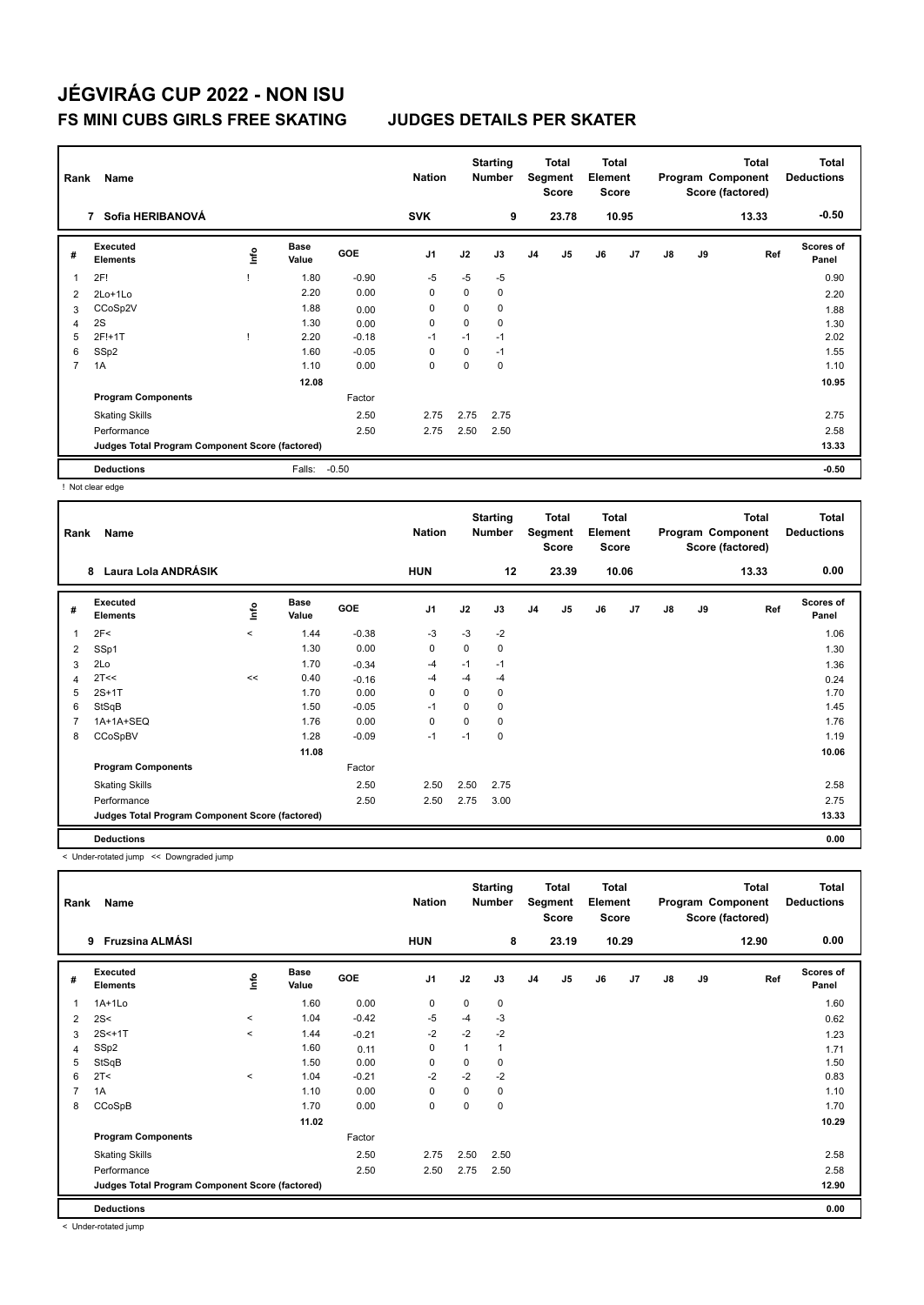| Rank | Name                                            |      |                      |            | <b>Nation</b>  |      | <b>Starting</b><br><b>Number</b> |                | <b>Total</b><br>Segment<br><b>Score</b> | <b>Total</b><br>Element<br>Score |       |    |    | <b>Total</b><br>Program Component<br>Score (factored) | Total<br><b>Deductions</b> |
|------|-------------------------------------------------|------|----------------------|------------|----------------|------|----------------------------------|----------------|-----------------------------------------|----------------------------------|-------|----|----|-------------------------------------------------------|----------------------------|
|      | Sofia HERIBANOVÁ<br>$\overline{7}$              |      |                      |            | <b>SVK</b>     |      | 9                                |                | 23.78                                   |                                  | 10.95 |    |    | 13.33                                                 | $-0.50$                    |
| #    | Executed<br><b>Elements</b>                     | lnfo | <b>Base</b><br>Value | <b>GOE</b> | J <sub>1</sub> | J2   | J3                               | J <sub>4</sub> | J <sub>5</sub>                          | J6                               | J7    | J8 | J9 | Ref                                                   | <b>Scores of</b><br>Panel  |
|      | 2F!                                             |      | 1.80                 | $-0.90$    | $-5$           | $-5$ | $-5$                             |                |                                         |                                  |       |    |    |                                                       | 0.90                       |
| 2    | 2Lo+1Lo                                         |      | 2.20                 | 0.00       | 0              | 0    | 0                                |                |                                         |                                  |       |    |    |                                                       | 2.20                       |
| 3    | CCoSp2V                                         |      | 1.88                 | 0.00       | 0              | 0    | 0                                |                |                                         |                                  |       |    |    |                                                       | 1.88                       |
| 4    | 2S                                              |      | 1.30                 | 0.00       | 0              | 0    | $\mathbf 0$                      |                |                                         |                                  |       |    |    |                                                       | 1.30                       |
| 5    | 2F!+1T                                          |      | 2.20                 | $-0.18$    | $-1$           | $-1$ | $-1$                             |                |                                         |                                  |       |    |    |                                                       | 2.02                       |
| 6    | SSp2                                            |      | 1.60                 | $-0.05$    | 0              | 0    | $-1$                             |                |                                         |                                  |       |    |    |                                                       | 1.55                       |
| 7    | 1A                                              |      | 1.10                 | 0.00       | 0              | 0    | $\mathbf 0$                      |                |                                         |                                  |       |    |    |                                                       | 1.10                       |
|      |                                                 |      | 12.08                |            |                |      |                                  |                |                                         |                                  |       |    |    |                                                       | 10.95                      |
|      | <b>Program Components</b>                       |      |                      | Factor     |                |      |                                  |                |                                         |                                  |       |    |    |                                                       |                            |
|      | <b>Skating Skills</b>                           |      |                      | 2.50       | 2.75           | 2.75 | 2.75                             |                |                                         |                                  |       |    |    |                                                       | 2.75                       |
|      | Performance                                     |      |                      | 2.50       | 2.75           | 2.50 | 2.50                             |                |                                         |                                  |       |    |    |                                                       | 2.58                       |
|      | Judges Total Program Component Score (factored) |      |                      |            |                |      |                                  |                |                                         |                                  |       |    |    |                                                       | 13.33                      |
|      | <b>Deductions</b>                               |      | Falls:               | $-0.50$    |                |      |                                  |                |                                         |                                  |       |    |    |                                                       | $-0.50$                    |

! Not clear edge

| Rank | Name                                            |         |                      |            | <b>Nation</b>  |      | <b>Starting</b><br><b>Number</b> |                | <b>Total</b><br>Segment<br><b>Score</b> | <b>Total</b><br>Element<br><b>Score</b> |                |    |    | <b>Total</b><br>Program Component<br>Score (factored) | <b>Total</b><br><b>Deductions</b> |
|------|-------------------------------------------------|---------|----------------------|------------|----------------|------|----------------------------------|----------------|-----------------------------------------|-----------------------------------------|----------------|----|----|-------------------------------------------------------|-----------------------------------|
|      | Laura Lola ANDRÁSIK<br>8                        |         |                      |            | <b>HUN</b>     |      | 12                               |                | 23.39                                   |                                         | 10.06          |    |    | 13.33                                                 | 0.00                              |
| #    | <b>Executed</b><br><b>Elements</b>              | ١nfo    | <b>Base</b><br>Value | <b>GOE</b> | J <sub>1</sub> | J2   | J3                               | J <sub>4</sub> | J <sub>5</sub>                          | J6                                      | J <sub>7</sub> | J8 | J9 | Ref                                                   | <b>Scores of</b><br>Panel         |
| 1    | 2F<                                             | $\prec$ | 1.44                 | $-0.38$    | $-3$           | $-3$ | $-2$                             |                |                                         |                                         |                |    |    |                                                       | 1.06                              |
| 2    | SSp1                                            |         | 1.30                 | 0.00       | $\mathbf 0$    | 0    | 0                                |                |                                         |                                         |                |    |    |                                                       | 1.30                              |
| 3    | 2Lo                                             |         | 1.70                 | $-0.34$    | $-4$           | $-1$ | $-1$                             |                |                                         |                                         |                |    |    |                                                       | 1.36                              |
| 4    | 2T<<                                            | <<      | 0.40                 | $-0.16$    | $-4$           | $-4$ | $-4$                             |                |                                         |                                         |                |    |    |                                                       | 0.24                              |
| 5    | $2S+1T$                                         |         | 1.70                 | 0.00       | 0              | 0    | 0                                |                |                                         |                                         |                |    |    |                                                       | 1.70                              |
| 6    | StSqB                                           |         | 1.50                 | $-0.05$    | $-1$           | 0    | 0                                |                |                                         |                                         |                |    |    |                                                       | 1.45                              |
| 7    | 1A+1A+SEQ                                       |         | 1.76                 | 0.00       | 0              | 0    | 0                                |                |                                         |                                         |                |    |    |                                                       | 1.76                              |
| 8    | CCoSpBV                                         |         | 1.28                 | $-0.09$    | $-1$           | $-1$ | $\Omega$                         |                |                                         |                                         |                |    |    |                                                       | 1.19                              |
|      |                                                 |         | 11.08                |            |                |      |                                  |                |                                         |                                         |                |    |    |                                                       | 10.06                             |
|      | <b>Program Components</b>                       |         |                      | Factor     |                |      |                                  |                |                                         |                                         |                |    |    |                                                       |                                   |
|      | <b>Skating Skills</b>                           |         |                      | 2.50       | 2.50           | 2.50 | 2.75                             |                |                                         |                                         |                |    |    |                                                       | 2.58                              |
|      | Performance                                     |         |                      | 2.50       | 2.50           | 2.75 | 3.00                             |                |                                         |                                         |                |    |    |                                                       | 2.75                              |
|      | Judges Total Program Component Score (factored) |         |                      |            |                |      |                                  |                |                                         |                                         |                |    |    |                                                       | 13.33                             |
|      | <b>Deductions</b>                               |         |                      |            |                |      |                                  |                |                                         |                                         |                |    |    |                                                       | 0.00                              |

< Under-rotated jump << Downgraded jump

| Rank                    | Name                                            |         |                      |            | <b>Nation</b>  |              | <b>Starting</b><br><b>Number</b> |                | <b>Total</b><br>Segment<br>Score | Total<br>Element<br><b>Score</b> |       |    |    | <b>Total</b><br>Program Component<br>Score (factored) | <b>Total</b><br><b>Deductions</b> |
|-------------------------|-------------------------------------------------|---------|----------------------|------------|----------------|--------------|----------------------------------|----------------|----------------------------------|----------------------------------|-------|----|----|-------------------------------------------------------|-----------------------------------|
|                         | Fruzsina ALMÁSI<br>9                            |         |                      |            | <b>HUN</b>     |              | 8                                |                | 23.19                            |                                  | 10.29 |    |    | 12.90                                                 | 0.00                              |
| #                       | Executed<br><b>Elements</b>                     | lnfo    | <b>Base</b><br>Value | <b>GOE</b> | J <sub>1</sub> | J2           | J3                               | J <sub>4</sub> | J <sub>5</sub>                   | J6                               | J7    | J8 | J9 | Ref                                                   | Scores of<br>Panel                |
| $\overline{\mathbf{1}}$ | $1A+1L0$                                        |         | 1.60                 | 0.00       | $\mathbf 0$    | $\mathbf 0$  | 0                                |                |                                  |                                  |       |    |    |                                                       | 1.60                              |
| $\overline{2}$          | 2S<                                             | $\,<\,$ | 1.04                 | $-0.42$    | -5             | -4           | $-3$                             |                |                                  |                                  |       |    |    |                                                       | 0.62                              |
| 3                       | $2S<+1T$                                        | $\,<$   | 1.44                 | $-0.21$    | $-2$           | $-2$         | $-2$                             |                |                                  |                                  |       |    |    |                                                       | 1.23                              |
| 4                       | SSp2                                            |         | 1.60                 | 0.11       | $\mathbf 0$    | $\mathbf{1}$ | 1                                |                |                                  |                                  |       |    |    |                                                       | 1.71                              |
| 5                       | StSqB                                           |         | 1.50                 | 0.00       | 0              | 0            | 0                                |                |                                  |                                  |       |    |    |                                                       | 1.50                              |
| 6                       | 2T <                                            | $\prec$ | 1.04                 | $-0.21$    | $-2$           | $-2$         | $-2$                             |                |                                  |                                  |       |    |    |                                                       | 0.83                              |
| $\overline{7}$          | 1A                                              |         | 1.10                 | 0.00       | 0              | 0            | 0                                |                |                                  |                                  |       |    |    |                                                       | 1.10                              |
| 8                       | CCoSpB                                          |         | 1.70                 | 0.00       | 0              | 0            | 0                                |                |                                  |                                  |       |    |    |                                                       | 1.70                              |
|                         |                                                 |         | 11.02                |            |                |              |                                  |                |                                  |                                  |       |    |    |                                                       | 10.29                             |
|                         | <b>Program Components</b>                       |         |                      | Factor     |                |              |                                  |                |                                  |                                  |       |    |    |                                                       |                                   |
|                         | <b>Skating Skills</b>                           |         |                      | 2.50       | 2.75           | 2.50         | 2.50                             |                |                                  |                                  |       |    |    |                                                       | 2.58                              |
|                         | Performance                                     |         |                      | 2.50       | 2.50           | 2.75         | 2.50                             |                |                                  |                                  |       |    |    |                                                       | 2.58                              |
|                         | Judges Total Program Component Score (factored) |         |                      |            |                |              |                                  |                |                                  |                                  |       |    |    |                                                       | 12.90                             |
|                         | <b>Deductions</b>                               |         |                      |            |                |              |                                  |                |                                  |                                  |       |    |    |                                                       | 0.00                              |

< Under-rotated jump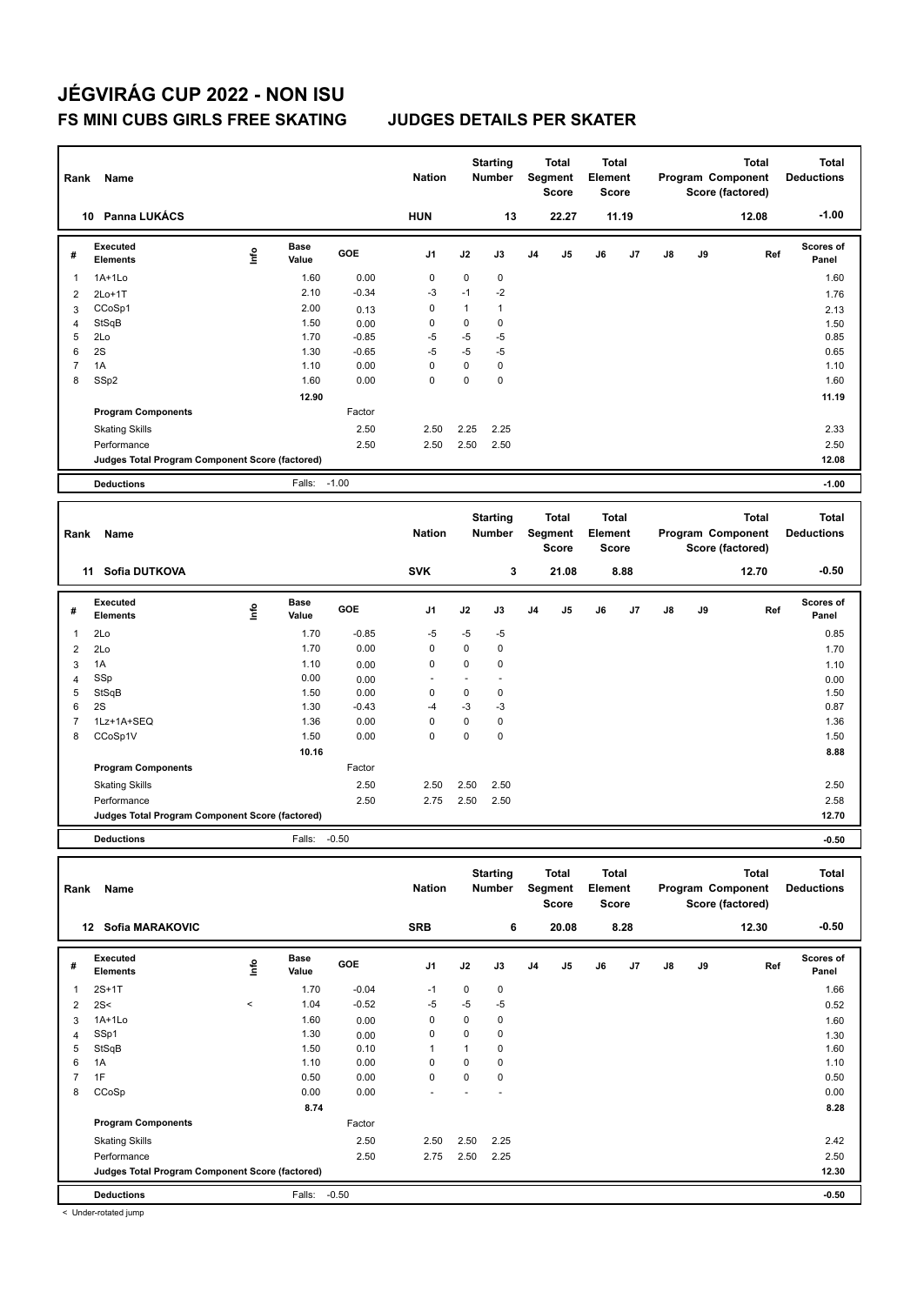| Rank           | <b>Name</b>                                     |      |                      |         | <b>Nation</b>  |                          | <b>Starting</b><br><b>Number</b> |    | <b>Total</b><br>Segment<br><b>Score</b> | <b>Total</b><br>Element<br><b>Score</b> |       |               |    | <b>Total</b><br>Program Component<br>Score (factored) | <b>Total</b><br><b>Deductions</b> |
|----------------|-------------------------------------------------|------|----------------------|---------|----------------|--------------------------|----------------------------------|----|-----------------------------------------|-----------------------------------------|-------|---------------|----|-------------------------------------------------------|-----------------------------------|
|                | 10 Panna LUKÁCS                                 |      |                      |         | <b>HUN</b>     |                          | 13                               |    | 22.27                                   |                                         | 11.19 |               |    | 12.08                                                 | $-1.00$                           |
| #              | Executed<br><b>Elements</b>                     | lnfo | <b>Base</b><br>Value | GOE     | J <sub>1</sub> | J2                       | J3                               | J4 | J5                                      | J6                                      | J7    | $\mathsf{J}8$ | J9 | Ref                                                   | Scores of<br>Panel                |
| 1              | $1A+1Lo$                                        |      | 1.60                 | 0.00    | $\mathbf 0$    | $\overline{0}$           | $\mathbf 0$                      |    |                                         |                                         |       |               |    |                                                       | 1.60                              |
| $\overline{2}$ | $2Lo+1T$                                        |      | 2.10                 | $-0.34$ | $-3$           | $-1$                     | $-2$                             |    |                                         |                                         |       |               |    |                                                       | 1.76                              |
| 3              | CCoSp1                                          |      | 2.00                 | 0.13    | $\mathbf 0$    | $\mathbf{1}$             | $\mathbf{1}$                     |    |                                         |                                         |       |               |    |                                                       | 2.13                              |
| $\overline{4}$ | StSqB                                           |      | 1.50                 | 0.00    | $\mathbf 0$    | 0                        | $\mathbf 0$                      |    |                                         |                                         |       |               |    |                                                       | 1.50                              |
| 5              | 2Lo                                             |      | 1.70                 | $-0.85$ | $-5$           | $-5$                     | $-5$                             |    |                                         |                                         |       |               |    |                                                       | 0.85                              |
| 6              | 2S                                              |      | 1.30                 | $-0.65$ | $-5$           | $-5$                     | $-5$                             |    |                                         |                                         |       |               |    |                                                       | 0.65                              |
| $\overline{7}$ | 1A                                              |      | 1.10                 | 0.00    | $\mathbf 0$    | 0                        | $\pmb{0}$                        |    |                                         |                                         |       |               |    |                                                       | 1.10                              |
| 8              | SSp2                                            |      | 1.60                 | 0.00    | $\Omega$       | 0                        | $\mathbf 0$                      |    |                                         |                                         |       |               |    |                                                       | 1.60                              |
|                |                                                 |      | 12.90                |         |                |                          |                                  |    |                                         |                                         |       |               |    |                                                       | 11.19                             |
|                | <b>Program Components</b>                       |      |                      | Factor  |                |                          |                                  |    |                                         |                                         |       |               |    |                                                       |                                   |
|                | <b>Skating Skills</b>                           |      |                      | 2.50    | 2.50           | 2.25                     | 2.25                             |    |                                         |                                         |       |               |    |                                                       | 2.33                              |
|                | Performance                                     |      |                      | 2.50    | 2.50           | 2.50                     | 2.50                             |    |                                         |                                         |       |               |    |                                                       | 2.50                              |
|                | Judges Total Program Component Score (factored) |      |                      |         |                |                          |                                  |    |                                         |                                         |       |               |    |                                                       | 12.08                             |
|                |                                                 |      |                      |         |                |                          |                                  |    |                                         |                                         |       |               |    |                                                       |                                   |
|                | <b>Deductions</b>                               |      | Falls:               | $-1.00$ |                |                          |                                  |    |                                         |                                         |       |               |    |                                                       | $-1.00$                           |
|                |                                                 |      |                      |         |                |                          |                                  |    |                                         |                                         |       |               |    |                                                       |                                   |
| Rank           | Name                                            |      |                      |         | <b>Nation</b>  |                          | <b>Starting</b><br><b>Number</b> |    | <b>Total</b><br>Segment<br><b>Score</b> | <b>Total</b><br>Element<br><b>Score</b> |       |               |    | <b>Total</b><br>Program Component<br>Score (factored) | <b>Total</b><br><b>Deductions</b> |
|                | 11 Sofia DUTKOVA                                |      |                      |         | <b>SVK</b>     |                          | 3                                |    | 21.08                                   |                                         | 8.88  |               |    | 12.70                                                 | $-0.50$                           |
| #              | <b>Executed</b><br><b>Elements</b>              | lnfo | <b>Base</b><br>Value | GOE     | J <sub>1</sub> | J2                       | J3                               | J4 | J5                                      | J6                                      | J7    | $\mathsf{J}8$ | J9 | Ref                                                   | Scores of<br>Panel                |
| $\mathbf{1}$   | 2Lo                                             |      | 1.70                 | $-0.85$ | $-5$           | $-5$                     | $-5$                             |    |                                         |                                         |       |               |    |                                                       | 0.85                              |
| $\overline{2}$ | 2Lo                                             |      | 1.70                 | 0.00    | $\mathbf 0$    | $\overline{0}$           | $\mathbf 0$                      |    |                                         |                                         |       |               |    |                                                       | 1.70                              |
| 3              | 1A                                              |      | 1.10                 | 0.00    | 0              | 0                        | $\pmb{0}$                        |    |                                         |                                         |       |               |    |                                                       | 1.10                              |
| $\overline{4}$ | SSp                                             |      | 0.00                 | 0.00    |                | $\overline{\phantom{a}}$ | $\ddot{\phantom{1}}$             |    |                                         |                                         |       |               |    |                                                       | 0.00                              |
| 5              | StSqB                                           |      | 1.50                 | 0.00    | $\mathbf 0$    | 0                        | $\mathbf 0$                      |    |                                         |                                         |       |               |    |                                                       | 1.50                              |
| 6              | 2S                                              |      | 1.30                 | $-0.43$ | $-4$           | $-3$                     | $-3$                             |    |                                         |                                         |       |               |    |                                                       | 0.87                              |
| $\overline{7}$ | 1Lz+1A+SEQ                                      |      | 1.36                 | 0.00    | 0              | 0                        | $\pmb{0}$                        |    |                                         |                                         |       |               |    |                                                       | 1.36                              |
| 8              | CCoSp1V                                         |      | 1.50                 | 0.00    | $\mathbf 0$    | 0                        | $\pmb{0}$                        |    |                                         |                                         |       |               |    |                                                       | 1.50                              |
|                |                                                 |      | 10.16                |         |                |                          |                                  |    |                                         |                                         |       |               |    |                                                       | 8.88                              |
|                | <b>Program Components</b>                       |      |                      | Factor  |                |                          |                                  |    |                                         |                                         |       |               |    |                                                       |                                   |
|                | <b>Skating Skills</b>                           |      |                      | 2.50    | 2.50           | 2.50                     | 2.50                             |    |                                         |                                         |       |               |    |                                                       | 2.50                              |
|                | Performance                                     |      |                      | 2.50    | 2.75           | 2.50                     | 2.50                             |    |                                         |                                         |       |               |    |                                                       | 2.58                              |
|                | Judges Total Program Component Score (factored) |      |                      |         |                |                          |                                  |    |                                         |                                         |       |               |    |                                                       | 12.70                             |
|                | <b>Deductions</b>                               |      | Falls:               | $-0.50$ |                |                          |                                  |    |                                         |                                         |       |               |    |                                                       | $-0.50$                           |
|                |                                                 |      |                      |         |                |                          |                                  |    |                                         |                                         |       |               |    |                                                       |                                   |
|                |                                                 |      |                      |         |                |                          | <b>Starting</b>                  |    | <b>Total</b>                            | <b>Total</b>                            |       |               |    | <b>Total</b>                                          | <b>Total</b>                      |

**Deductions Program Component Score (factored) Element Segment Score Score Rank Name Nation Nation # Executed Elements Base Value GOE J1 J2 J3 J4 J5 J6 J7 J8 J9 Scores of Panel** 1 2S+1T 1.70 -0.04 -1 0 0 **Ref**  2S+1T 1.66 **Info 12 Sofia MARAKOVIC SRB 6 20.08 8.28 12.30 -0.50** 2 2S<  $\leq$  1.04 -0.52 -5 -5 -5 contracts to the 0.52 0.52  $3$  1A+1Lo 1.60  $1.60$   $0.00$  0 0 0 0 0 0 1.60 1.60 4 SSp1 1.30 0.00 0 0 0 1.30 5 StSqB 1.50 0.10 1 1 0 1.60  $6$  1A 1.10  $1.10$  0.00 0 0 0 0 0 0 1.10 7 1F 0.50 0.00 0 0 0 0.50 8 CCoSp 0.00 0.00 - - - 0.00  **8.74 8.28 Program Components**  Skating Skills 2.50 2.50 2.25 2.50 2.42 Factor Performance 2.50 2.75 2.50 2.25 2.50 **Deductions** Falls: -0.50 **-0.50 Judges Total Program Component Score (factored) 12.30**

< Under-rotated jump